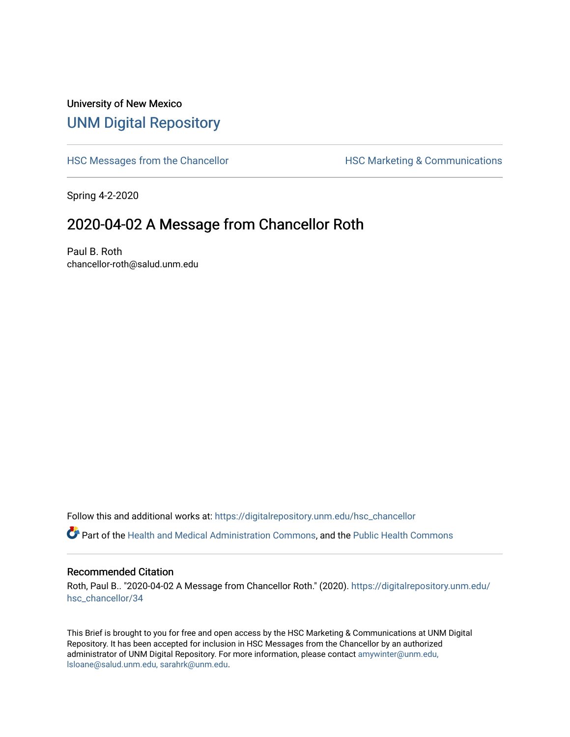## University of New Mexico [UNM Digital Repository](https://digitalrepository.unm.edu/)

[HSC Messages from the Chancellor](https://digitalrepository.unm.edu/hsc_chancellor) **HSC Marketing & Communications** 

Spring 4-2-2020

## 2020-04-02 A Message from Chancellor Roth

Paul B. Roth chancellor-roth@salud.unm.edu

Follow this and additional works at: [https://digitalrepository.unm.edu/hsc\\_chancellor](https://digitalrepository.unm.edu/hsc_chancellor?utm_source=digitalrepository.unm.edu%2Fhsc_chancellor%2F34&utm_medium=PDF&utm_campaign=PDFCoverPages) 

Part of the [Health and Medical Administration Commons](http://network.bepress.com/hgg/discipline/663?utm_source=digitalrepository.unm.edu%2Fhsc_chancellor%2F34&utm_medium=PDF&utm_campaign=PDFCoverPages), and the [Public Health Commons](http://network.bepress.com/hgg/discipline/738?utm_source=digitalrepository.unm.edu%2Fhsc_chancellor%2F34&utm_medium=PDF&utm_campaign=PDFCoverPages) 

## Recommended Citation

Roth, Paul B.. "2020-04-02 A Message from Chancellor Roth." (2020). [https://digitalrepository.unm.edu/](https://digitalrepository.unm.edu/hsc_chancellor/34?utm_source=digitalrepository.unm.edu%2Fhsc_chancellor%2F34&utm_medium=PDF&utm_campaign=PDFCoverPages) [hsc\\_chancellor/34](https://digitalrepository.unm.edu/hsc_chancellor/34?utm_source=digitalrepository.unm.edu%2Fhsc_chancellor%2F34&utm_medium=PDF&utm_campaign=PDFCoverPages) 

This Brief is brought to you for free and open access by the HSC Marketing & Communications at UNM Digital Repository. It has been accepted for inclusion in HSC Messages from the Chancellor by an authorized administrator of UNM Digital Repository. For more information, please contact [amywinter@unm.edu,](mailto:amywinter@unm.edu,%20lsloane@salud.unm.edu,%20sarahrk@unm.edu) [lsloane@salud.unm.edu, sarahrk@unm.edu.](mailto:amywinter@unm.edu,%20lsloane@salud.unm.edu,%20sarahrk@unm.edu)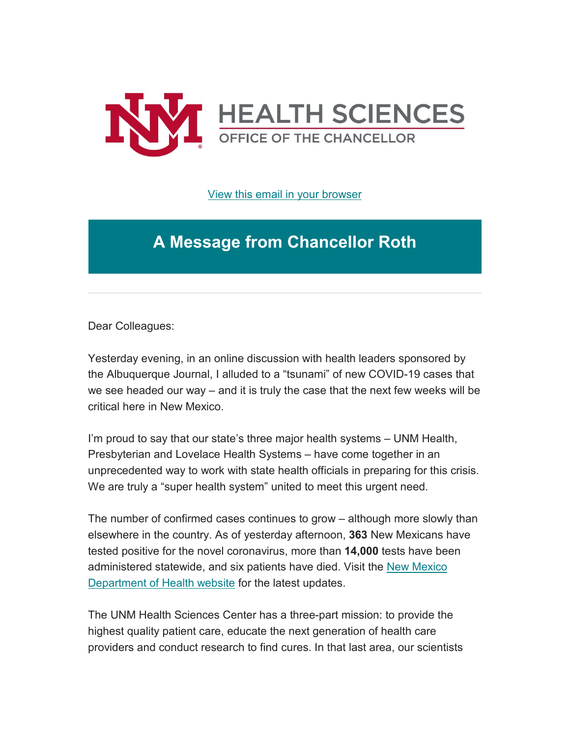

[View this email in your browser](https://mailchi.mp/b160635a7595/message-from-the-chancellor-coronavirus-4368124?e=b4bbfca2c0)

## **A Message from Chancellor Roth**

Dear Colleagues:

Yesterday evening, in an online discussion with health leaders sponsored by the Albuquerque Journal, I alluded to a "tsunami" of new COVID-19 cases that we see headed our way – and it is truly the case that the next few weeks will be critical here in New Mexico.

I'm proud to say that our state's three major health systems – UNM Health, Presbyterian and Lovelace Health Systems – have come together in an unprecedented way to work with state health officials in preparing for this crisis. We are truly a "super health system" united to meet this urgent need.

The number of confirmed cases continues to grow – although more slowly than elsewhere in the country. As of yesterday afternoon, **363** New Mexicans have tested positive for the novel coronavirus, more than **14,000** tests have been administered statewide, and six patients have died. Visit the [New Mexico](https://unm.us19.list-manage.com/track/click?u=59ce53c1a4dedb490bac78648&id=9850d0474f&e=b4bbfca2c0)  [Department of Health website](https://unm.us19.list-manage.com/track/click?u=59ce53c1a4dedb490bac78648&id=9850d0474f&e=b4bbfca2c0) for the latest updates.

The UNM Health Sciences Center has a three-part mission: to provide the highest quality patient care, educate the next generation of health care providers and conduct research to find cures. In that last area, our scientists